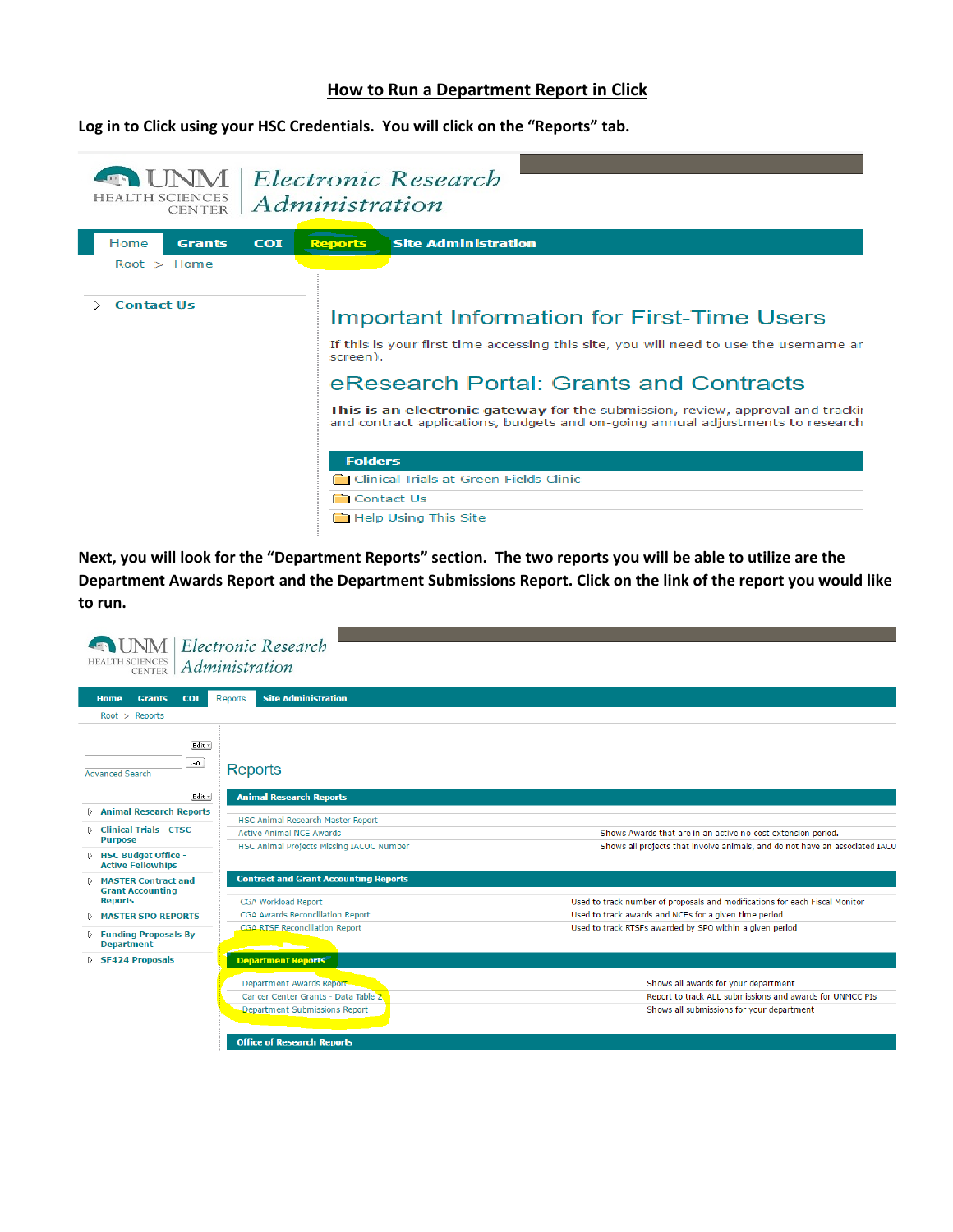## **How to Run a Department Report in Click**

**Log in to Click using your HSC Credentials. You will click on the "Reports" tab.**



**Next, you will look for the "Department Reports" section. The two reports you will be able to utilize are the Department Awards Report and the Department Submissions Report. Click on the link of the report you would like to run.**